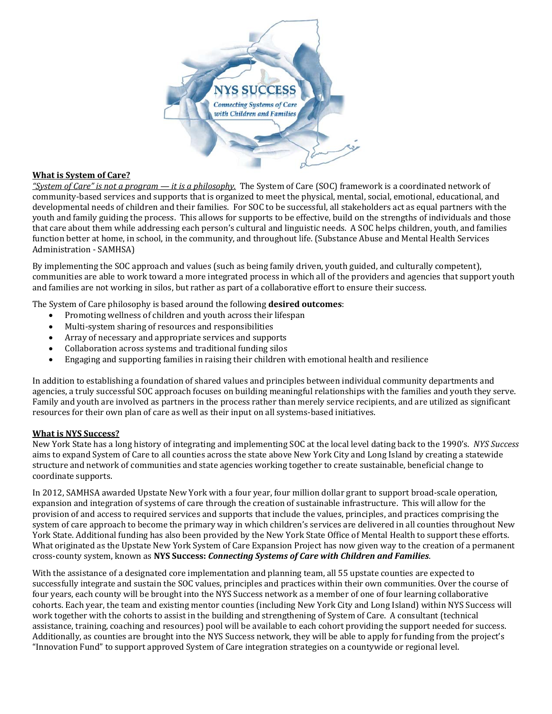

## **What is System of Care?**

*"System of Care" is not a program — it is a philosophy.* The System of Care (SOC) framework is a coordinated network of community-based services and supports that is organized to meet the physical, mental, social, emotional, educational, and developmental needs of children and their families. For SOC to be successful, all stakeholders act as equal partners with the youth and family guiding the process. This allows for supports to be effective, build on the strengths of individuals and those that care about them while addressing each person's cultural and linguistic needs. A SOC helps children, youth, and families function better at home, in school, in the community, and throughout life. (Substance Abuse and Mental Health Services Administration - SAMHSA)

By implementing the SOC approach and values (such as being family driven, youth guided, and culturally competent), communities are able to work toward a more integrated process in which all of the providers and agencies that support youth and families are not working in silos, but rather as part of a collaborative effort to ensure their success.

The System of Care philosophy is based around the following **desired outcomes**:

- Promoting wellness of children and youth across their lifespan
- Multi-system sharing of resources and responsibilities
- Array of necessary and appropriate services and supports
- Collaboration across systems and traditional funding silos
- Engaging and supporting families in raising their children with emotional health and resilience

In addition to establishing a foundation of shared values and principles between individual community departments and agencies, a truly successful SOC approach focuses on building meaningful relationships with the families and youth they serve. Family and youth are involved as partners in the process rather than merely service recipients, and are utilized as significant resources for their own plan of care as well as their input on all systems-based initiatives.

## **What is NYS Success?**

New York State has a long history of integrating and implementing SOC at the local level dating back to the 1990's. NYS Success aims to expand System of Care to all counties across the state above New York City and Long Island by creating a statewide structure and network of communities and state agencies working together to create sustainable, beneficial change to coordinate supports.

In 2012, SAMHSA awarded Upstate New York with a four year, four million dollar grant to support broad-scale operation, expansion and integration of systems of care through the creation of sustainable infrastructure. This will allow for the provision of and access to required services and supports that include the values, principles, and practices comprising the system of care approach to become the primary way in which children's services are delivered in all counties throughout New York State. Additional funding has also been provided by the New York State Office of Mental Health to support these efforts. What originated as the Upstate New York System of Care Expansion Project has now given way to the creation of a permanent cross‐county system, known as **NYS Success:** *Connecting Systems of Care with Children and Families*. 

With the assistance of a designated core implementation and planning team, all 55 upstate counties are expected to successfully integrate and sustain the SOC values, principles and practices within their own communities. Over the course of four years, each county will be brought into the NYS Success network as a member of one of four learning collaborative cohorts. Each year, the team and existing mentor counties (including New York City and Long Island) within NYS Success will work together with the cohorts to assist in the building and strengthening of System of Care. A consultant (technical assistance, training, coaching and resources) pool will be available to each cohort providing the support needed for success. Additionally, as counties are brought into the NYS Success network, they will be able to apply for funding from the project's "Innovation Fund" to support approved System of Care integration strategies on a countywide or regional level.